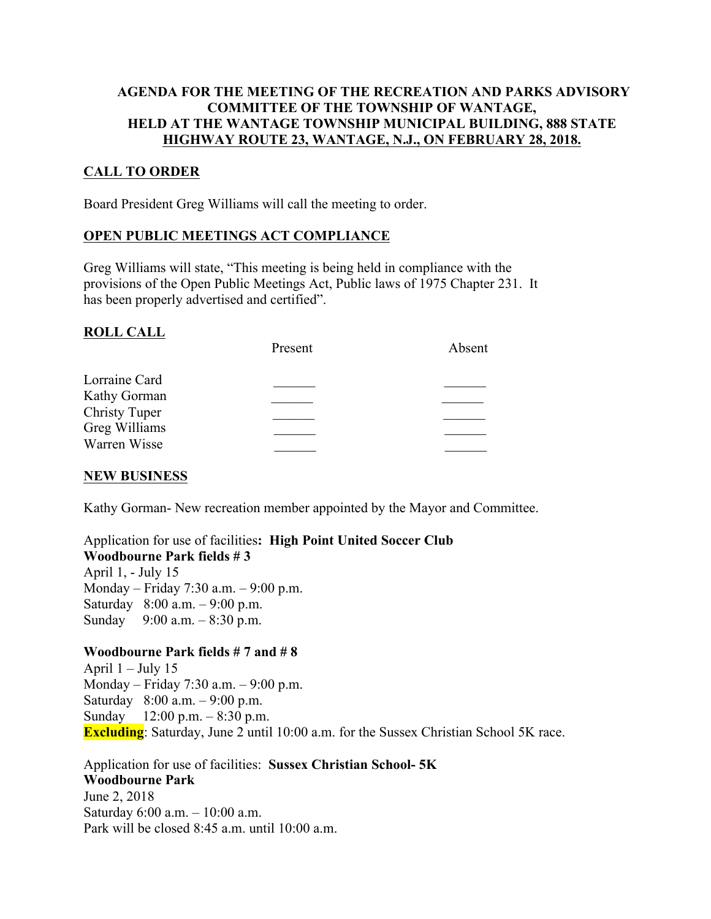#### **AGENDA FOR THE MEETING OF THE RECREATION AND PARKS ADVISORY COMMITTEE OF THE TOWNSHIP OF WANTAGE, HELD AT THE WANTAGE TOWNSHIP MUNICIPAL BUILDING, 888 STATE HIGHWAY ROUTE 23, WANTAGE, N.J., ON FEBRUARY 28, 2018.**

# **CALL TO ORDER**

Board President Greg Williams will call the meeting to order.

#### **OPEN PUBLIC MEETINGS ACT COMPLIANCE**

Greg Williams will state, "This meeting is being held in compliance with the provisions of the Open Public Meetings Act, Public laws of 1975 Chapter 231. It has been properly advertised and certified".

#### **ROLL CALL**

|                                       | Present | Absent |
|---------------------------------------|---------|--------|
| Lorraine Card                         |         |        |
| Kathy Gorman                          |         |        |
| <b>Christy Tuper</b><br>Greg Williams |         |        |
| Warren Wisse                          |         |        |
|                                       |         |        |

#### **NEW BUSINESS**

Kathy Gorman- New recreation member appointed by the Mayor and Committee.

# Application for use of facilities**: High Point United Soccer Club Woodbourne Park fields # 3**

April 1, - July 15 Monday – Friday 7:30 a.m. – 9:00 p.m. Saturday 8:00 a.m. – 9:00 p.m. Sunday 9:00 a.m. – 8:30 p.m.

# **Woodbourne Park fields # 7 and # 8**

April  $1 -$  July 15 Monday – Friday 7:30 a.m. – 9:00 p.m. Saturday 8:00 a.m. – 9:00 p.m. Sunday 12:00 p.m. – 8:30 p.m. **Excluding**: Saturday, June 2 until 10:00 a.m. for the Sussex Christian School 5K race.

Application for use of facilities: **Sussex Christian School- 5K Woodbourne Park**  June 2, 2018 Saturday 6:00 a.m. – 10:00 a.m. Park will be closed  $8.45$  a.m. until  $10.00$  a.m.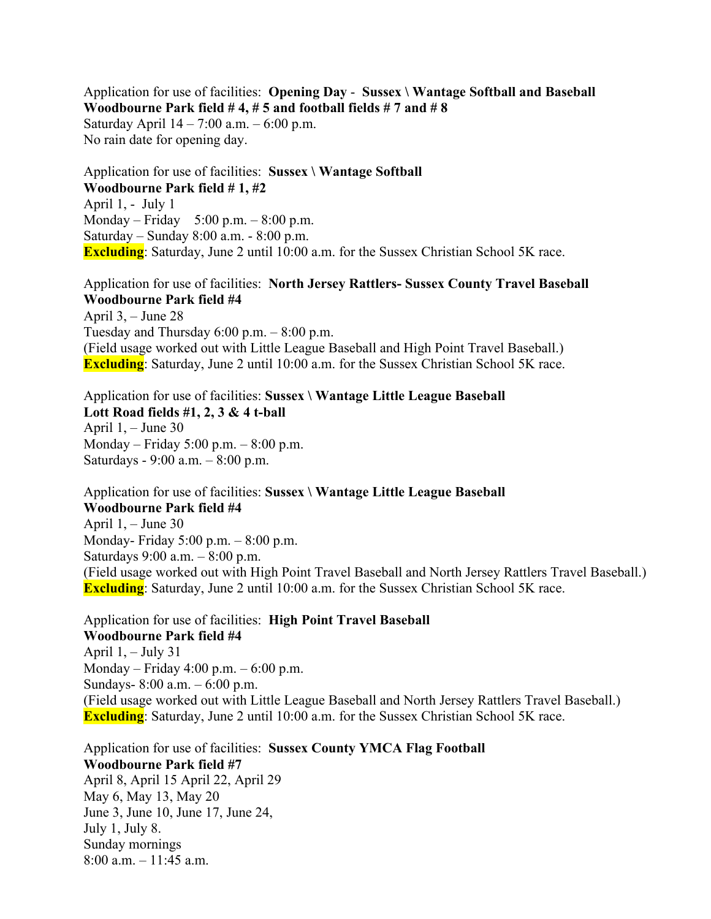Application for use of facilities: **Opening Day** - **Sussex \ Wantage Softball and Baseball Woodbourne Park field # 4, # 5 and football fields # 7 and # 8** Saturday April 14 – 7:00 a.m. – 6:00 p.m. No rain date for opening day.

Application for use of facilities: **Sussex \ Wantage Softball Woodbourne Park field # 1, #2** April 1, - July 1 Monday – Friday 5:00 p.m. – 8:00 p.m. Saturday – Sunday 8:00 a.m. - 8:00 p.m. **Excluding**: Saturday, June 2 until 10:00 a.m. for the Sussex Christian School 5K race.

### Application for use of facilities: **North Jersey Rattlers- Sussex County Travel Baseball Woodbourne Park field #4**

April 3, – June 28 Tuesday and Thursday  $6:00$  p.m.  $-8:00$  p.m. (Field usage worked out with Little League Baseball and High Point Travel Baseball.) **Excluding**: Saturday, June 2 until 10:00 a.m. for the Sussex Christian School 5K race.

Application for use of facilities: **Sussex \ Wantage Little League Baseball Lott Road fields #1, 2, 3 & 4 t-ball** April  $1, -$  June 30 Monday – Friday 5:00 p.m. – 8:00 p.m. Saturdays - 9:00 a.m. – 8:00 p.m.

Application for use of facilities: **Sussex \ Wantage Little League Baseball Woodbourne Park field #4** April 1, – June 30 Monday- Friday 5:00 p.m. – 8:00 p.m. Saturdays 9:00 a.m. – 8:00 p.m. (Field usage worked out with High Point Travel Baseball and North Jersey Rattlers Travel Baseball.) **Excluding**: Saturday, June 2 until 10:00 a.m. for the Sussex Christian School 5K race.

Application for use of facilities: **High Point Travel Baseball Woodbourne Park field #4** April  $1, -$  July 31 Monday – Friday 4:00 p.m. – 6:00 p.m. Sundays- 8:00 a.m. – 6:00 p.m. (Field usage worked out with Little League Baseball and North Jersey Rattlers Travel Baseball.) **Excluding**: Saturday, June 2 until 10:00 a.m. for the Sussex Christian School 5K race.

Application for use of facilities: **Sussex County YMCA Flag Football Woodbourne Park field #7** April 8, April 15 April 22, April 29 May 6, May 13, May 20 June 3, June 10, June 17, June 24, July 1, July 8. Sunday mornings 8:00 a.m. – 11:45 a.m.